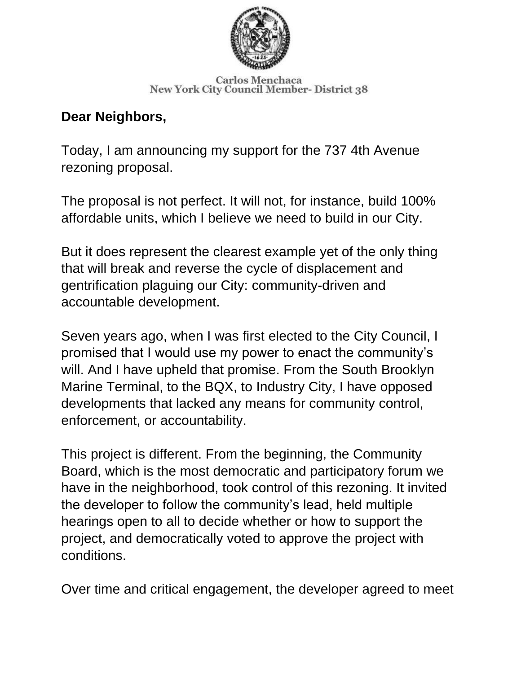

**Carlos Menchaca New York City Council Member- District 38** 

## **Dear Neighbors,**

Today, I am announcing my support for the 737 4th Avenue rezoning proposal.

The proposal is not perfect. It will not, for instance, build 100% affordable units, which I believe we need to build in our City.

But it does represent the clearest example yet of the only thing that will break and reverse the cycle of displacement and gentrification plaguing our City: community-driven and accountable development.

Seven years ago, when I was first elected to the City Council, I promised that I would use my power to enact the community's will. And I have upheld that promise. From the South Brooklyn Marine Terminal, to the BQX, to Industry City, I have opposed developments that lacked any means for community control, enforcement, or accountability.

This project is different. From the beginning, the Community Board, which is the most democratic and participatory forum we have in the neighborhood, took control of this rezoning. It invited the developer to follow the community's lead, held multiple hearings open to all to decide whether or how to support the project, and democratically voted to approve the project with conditions.

Over time and critical engagement, the developer agreed to meet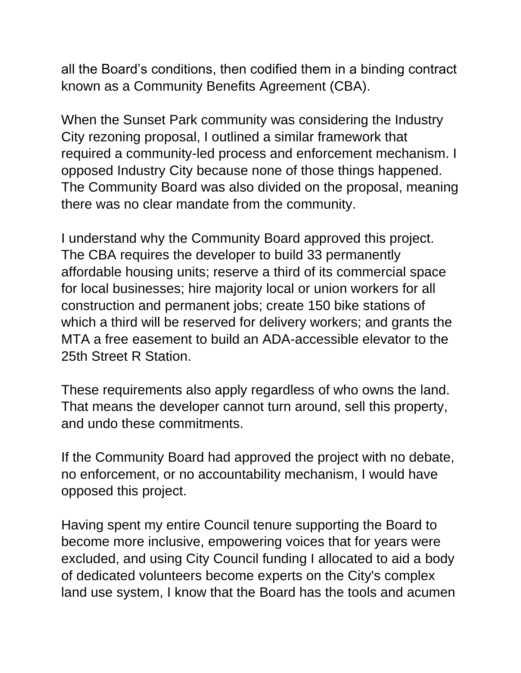all the Board's conditions, then codified them in a binding contract known as a Community Benefits Agreement (CBA).

When the Sunset Park community was considering the Industry City rezoning proposal, I outlined a similar framework that required a community-led process and enforcement mechanism. I opposed Industry City because none of those things happened. The Community Board was also divided on the proposal, meaning there was no clear mandate from the community.

I understand why the Community Board approved this project. The CBA requires the developer to build 33 permanently affordable housing units; reserve a third of its commercial space for local businesses; hire majority local or union workers for all construction and permanent jobs; create 150 bike stations of which a third will be reserved for delivery workers; and grants the MTA a free easement to build an ADA-accessible elevator to the 25th Street R Station.

These requirements also apply regardless of who owns the land. That means the developer cannot turn around, sell this property, and undo these commitments.

If the Community Board had approved the project with no debate, no enforcement, or no accountability mechanism, I would have opposed this project.

Having spent my entire Council tenure supporting the Board to become more inclusive, empowering voices that for years were excluded, and using City Council funding I allocated to aid a body of dedicated volunteers become experts on the City's complex land use system, I know that the Board has the tools and acumen